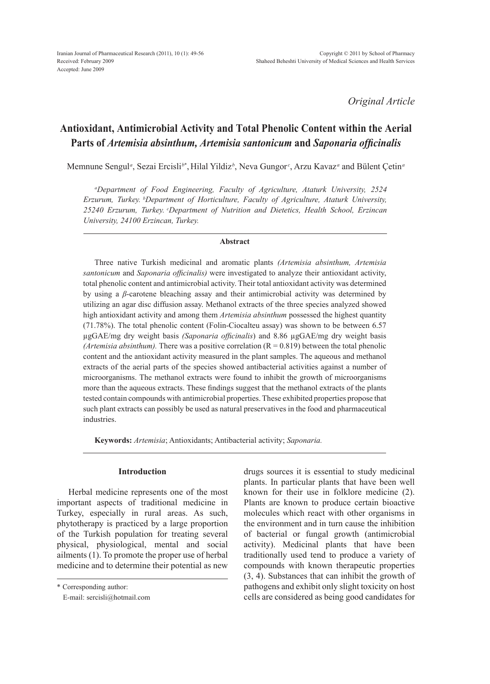*Original Article*

# **Antioxidant, Antimicrobial Activity and Total Phenolic Content within the Aerial Parts of** *Artemisia absinthum, Artemisia santonicum* **and** *Saponaria officinalis*

Memnune Sengul*<sup>a</sup>* , Sezai Ercisli*<sup>b</sup>*\* , Hilal Yildiz*<sup>b</sup>* , Neva Gungor *<sup>c</sup>* , Arzu Kavaz*<sup>a</sup>* and Bülent Çetin*<sup>a</sup>*

*a Department of Food Engineering, Faculty of Agriculture, Ataturk University, 2524 Erzurum, Turkey. bDepartment of Horticulture, Faculty of Agriculture, Ataturk University,*  25240 Erzurum, Turkey. <sup>c</sup>Department of Nutrition and Dietetics, Health School, Erzincan *University, 24100 Erzincan, Turkey.*

#### **Abstract**

Three native Turkish medicinal and aromatic plants *(Artemisia absinthum, Artemisia santonicum* and *Saponaria officinalis)* were investigated to analyze their antioxidant activity, total phenolic content and antimicrobial activity. Their total antioxidant activity was determined by using a *β*-carotene bleaching assay and their antimicrobial activity was determined by utilizing an agar disc diffusion assay. Methanol extracts of the three species analyzed showed high antioxidant activity and among them *Artemisia absinthum* possessed the highest quantity (71.78%). The total phenolic content (Folin-Ciocalteu assay) was shown to be between 6.57 µgGAE/mg dry weight basis *(Saponaria officinalis*) and 8.86 µgGAE/mg dry weight basis *(Artemisia absinthum).* There was a positive correlation  $(R = 0.819)$  between the total phenolic content and the antioxidant activity measured in the plant samples. The aqueous and methanol extracts of the aerial parts of the species showed antibacterial activities against a number of microorganisms. The methanol extracts were found to inhibit the growth of microorganisms more than the aqueous extracts. These findings suggest that the methanol extracts of the plants tested contain compounds with antimicrobial properties. These exhibited properties propose that such plant extracts can possibly be used as natural preservatives in the food and pharmaceutical industries.

**Keywords:** *Artemisia*; Antioxidants; Antibacterial activity; *Saponaria.*

### **Introduction**

Herbal medicine represents one of the most important aspects of traditional medicine in Turkey, especially in rural areas. As such, phytotherapy is practiced by a large proportion of the Turkish population for treating several physical, physiological, mental and social ailments (1). To promote the proper use of herbal medicine and to determine their potential as new

\* Corresponding author:

E-mail: sercisli@hotmail.com

drugs sources it is essential to study medicinal plants. In particular plants that have been well known for their use in folklore medicine (2). Plants are known to produce certain bioactive molecules which react with other organisms in the environment and in turn cause the inhibition of bacterial or fungal growth (antimicrobial activity). Medicinal plants that have been traditionally used tend to produce a variety of compounds with known therapeutic properties (3, 4). Substances that can inhibit the growth of pathogens and exhibit only slight toxicity on host cells are considered as being good candidates for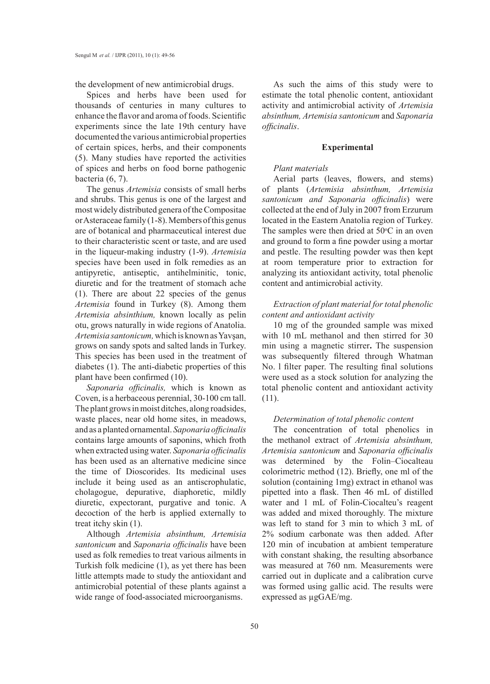the development of new antimicrobial drugs.

Spices and herbs have been used for thousands of centuries in many cultures to enhance the flavor and aroma of foods. Scientific experiments since the late 19th century have documented the various antimicrobial properties of certain spices, herbs, and their components (5). Many studies have reported the activities of spices and herbs on food borne pathogenic bacteria (6, 7).

The genus *Artemisia* consists of small herbs and shrubs. This genus is one of the largest and most widely distributed genera of the Compositae or Asteraceae family (1-8). Members of this genus are of botanical and pharmaceutical interest due to their characteristic scent or taste, and are used in the liqueur-making industry (1-9). *Artemisia* species have been used in folk remedies as an antipyretic, antiseptic, antihelminitic, tonic, diuretic and for the treatment of stomach ache (1). There are about 22 species of the genus *Artemisia* found in Turkey (8). Among them *Artemisia absinthium,* known locally as pelin otu, grows naturally in wide regions of Anatolia. *Artemisia santonicum,* which is known as Yavşan, grows on sandy spots and salted lands in Turkey. This species has been used in the treatment of diabetes (1). The anti-diabetic properties of this plant have been confirmed (10).

*Saponaria officinalis,* which is known as Coven, is a herbaceous perennial, 30-100 cm tall. The plant grows in moist ditches, along roadsides, waste places, near old home sites, in meadows, and as a planted ornamental. *Saponaria officinalis* contains large amounts of saponins, which froth when extracted using water. *Saponaria officinalis* has been used as an alternative medicine since the time of Dioscorides. Its medicinal uses include it being used as an antiscrophulatic, cholagogue, depurative, diaphoretic, mildly diuretic, expectorant, purgative and tonic. A decoction of the herb is applied externally to treat itchy skin (1).

Although *Artemisia absinthum, Artemisia santonicum* and *Saponaria officinalis* have been used as folk remedies to treat various ailments in Turkish folk medicine (1), as yet there has been little attempts made to study the antioxidant and antimicrobial potential of these plants against a wide range of food-associated microorganisms.

As such the aims of this study were to estimate the total phenolic content, antioxidant activity and antimicrobial activity of *Artemisia absinthum, Artemisia santonicum* and *Saponaria officinalis*.

#### **Experimental**

### *Plant materials*

Aerial parts (leaves, flowers, and stems) of plants (*Artemisia absinthum, Artemisia santonicum and Saponaria officinalis*) were collected at the end of July in 2007 from Erzurum located in the Eastern Anatolia region of Turkey. The samples were then dried at  $50^{\circ}$ C in an oven and ground to form a fine powder using a mortar and pestle. The resulting powder was then kept at room temperature prior to extraction for analyzing its antioxidant activity, total phenolic content and antimicrobial activity.

# *Extraction of plant material for total phenolic content and antioxidant activity*

10 mg of the grounded sample was mixed with 10 mL methanol and then stirred for 30 min using a magnetic stirrer**.** The suspension was subsequently filtered through Whatman No. l filter paper. The resulting final solutions were used as a stock solution for analyzing the total phenolic content and antioxidant activity (11).

### *Determination of total phenolic content*

The concentration of total phenolics in the methanol extract of *Artemisia absinthum, Artemisia santonicum* and *Saponaria officinalis*  was determined by the Folin–Ciocalteau colorimetric method (12). Briefly, one ml of the solution (containing 1mg) extract in ethanol was pipetted into a flask. Then 46 mL of distilled water and 1 mL of Folin-Ciocalteu's reagent was added and mixed thoroughly. The mixture was left to stand for 3 min to which 3 mL of 2% sodium carbonate was then added. After 120 min of incubation at ambient temperature with constant shaking, the resulting absorbance was measured at 760 nm. Measurements were carried out in duplicate and a calibration curve was formed using gallic acid. The results were expressed as µgGAE/mg.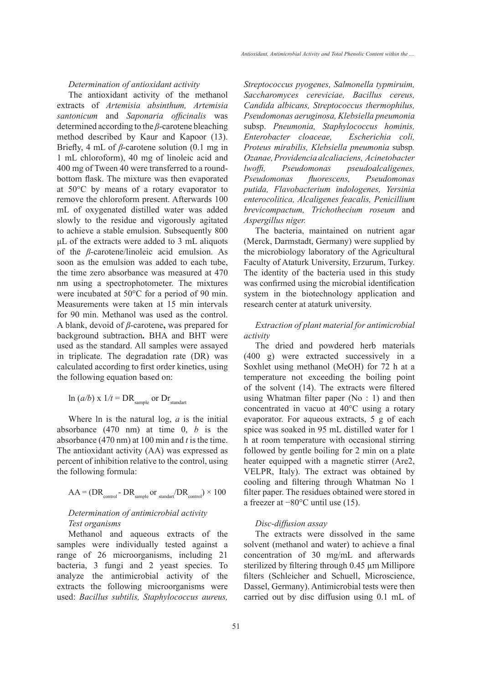*Determination of antioxidant activity*

The antioxidant activity of the methanol extracts of *Artemisia absinthum, Artemisia santonicum* and *Saponaria officinalis* was determined according to the *β*-carotene bleaching method described by Kaur and Kapoor (13). Briefly, 4 mL of *β*-carotene solution (0.1 mg in 1 mL chloroform), 40 mg of linoleic acid and 400 mg of Tween 40 were transferred to a roundbottom flask. The mixture was then evaporated at 50°C by means of a rotary evaporator to remove the chloroform present. Afterwards 100 mL of oxygenated distilled water was added slowly to the residue and vigorously agitated to achieve a stable emulsion. Subsequently 800 μL of the extracts were added to 3 mL aliquots of the *β*-carotene/linoleic acid emulsion. As soon as the emulsion was added to each tube, the time zero absorbance was measured at 470 nm using a spectrophotometer. The mixtures were incubated at 50°C for a period of 90 min. Measurements were taken at 15 min intervals for 90 min. Methanol was used as the control. A blank, devoid of *β*-carotene**,** was prepared for background subtraction**.** BHA and BHT were used as the standard. All samples were assayed in triplicate. The degradation rate (DR) was calculated according to first order kinetics, using the following equation based on:

$$
\ln (a/b) \ge 1/t = DR_{\text{sample}} \text{ or } Dr_{\text{standard}}
$$

Where ln is the natural log, *a* is the initial absorbance (470 nm) at time 0, *b* is the absorbance (470 nm) at 100 min and *t* is the time. The antioxidant activity (AA) was expressed as percent of inhibition relative to the control, using the following formula:

$$
AA = (DR_{control} - DR_{sample} or_{standard} / DR_{control}) \times 100
$$

### *Determination of antimicrobial activity Test organisms*

Methanol and aqueous extracts of the samples were individually tested against a range of 26 microorganisms, including 21 bacteria, 3 fungi and 2 yeast species. To analyze the antimicrobial activity of the extracts the following microorganisms were used: *Bacillus subtilis, Staphylococcus aureus,* 

*Streptococcus pyogenes, Salmonella typmiruim, Saccharomyces cereviciae, Bacillus cereus, Candida albicans, Streptococcus thermophilus, Pseudomonas aeruginosa, Klebsiella pneumonia*  subsp. *Pneumonia, Staphylococcus hominis, Enterobacter cloaceae, Escherichia coli, Proteus mirabilis, Klebsiella pneumonia* subsp*. Ozanae, Providencia alcaliaciens, Acinetobacter lwoffi, Pseudomonas pseudoalcaligenes, Pseudomonas fluorescens, Pseudomonas putida, Flavobacterium indologenes, Yersinia enterocolitica, Alcaligenes feacalis, Penicillium brevicompactum, Trichothecium roseum* and *Aspergillus niger.*

The bacteria, maintained on nutrient agar (Merck, Darmstadt, Germany) were supplied by the microbiology laboratory of the Agricultural Faculty of Ataturk University, Erzurum, Turkey. The identity of the bacteria used in this study was confirmed using the microbial identification system in the biotechnology application and research center at ataturk university.

## *Extraction of plant material for antimicrobial activity*

The dried and powdered herb materials (400 g) were extracted successively in a Soxhlet using methanol (MeOH) for 72 h at a temperature not exceeding the boiling point of the solvent (14). The extracts were filtered using Whatman filter paper (No : 1) and then concentrated in vacuo at 40°C using a rotary evaporator. For aqueous extracts, 5 g of each spice was soaked in 95 mL distilled water for 1 h at room temperature with occasional stirring followed by gentle boiling for 2 min on a plate heater equipped with a magnetic stirrer (Are2, VELPR, Italy). The extract was obtained by cooling and filtering through Whatman No 1 filter paper. The residues obtained were stored in a freezer at −80°C until use (15).

#### *Disc-diffusion assay*

The extracts were dissolved in the same solvent (methanol and water) to achieve a final concentration of 30 mg/mL and afterwards sterilized by filtering through 0.45 µm Millipore filters (Schleicher and Schuell, Microscience, Dassel, Germany). Antimicrobial tests were then carried out by disc diffusion using 0.1 mL of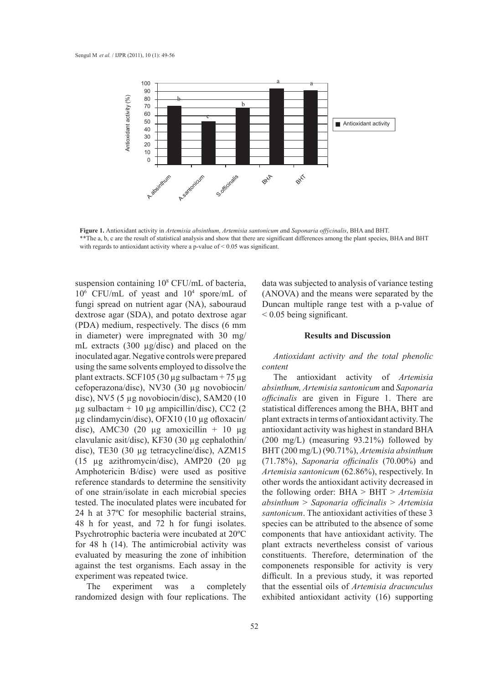

Figure 1. Antioxidant activity in Artemisia absinthum, Artemisia santonicum and Saponaria offýcinalis, BHA and BHT. \*\* The a, b, c are the result of statistical analysis and show that there are significant differences among the plant species, BHA and BHT with regards to antioxidant activity where a p-value of  $< 0.05$  was significant.

suspension containing 10<sup>8</sup> CFU/mL of bacteria, 106 CFU/mL of yeast and 104 spore/mL of fungi spread on nutrient agar (NA), sabouraud dextrose agar (SDA), and potato dextrose agar (PDA) medium, respectively. The discs (6 mm in diameter) were impregnated with 30 mg/ **Figure 2.** Results and Discu mL extracts (300 µg/disc) and placed on the 1112 **United Cooping and** *Saponaria* practice of the inoculated agar. Negative controls were prepared using the same solvents employed to dissolve the plant extracts. SCF105 (30  $\mu$ g sulbactam + 75  $\mu$ g cefoperazona/disc), NV30 (30 µg novobiocin/ disc), NV5 (5 µg novobiocin/disc), SAM20 (10  $\mu$ g sulbactam + 10  $\mu$ g ampicillin/disc), CC2 (2 µg clindamycin/disc), OFX10 (10 µg ofloxacin/ disc), AMC30 (20  $\mu$ g amoxicillin + 10  $\mu$ g clavulanic asit/disc), KF30 (30 µg cephalothin/ disc), TE30 (30 µg tetracycline/disc), AZM15 (15 µg azithromycin/disc), AMP20 (20 µg Amphotericin B/disc) were used as positive reference standards to determine the sensitivity of one strain/isolate in each microbial species tested. The inoculated plates were incubated for 24 h at 37ºC for mesophilic bacterial strains, 48 h for yeast, and 72 h for fungi isolates. Psychrotrophic bacteria were incubated at 20ºC for 48 h (14). The antimicrobial activity was evaluated by measuring the zone of inhibition against the test organisms. Each assay in the experiment was repeated twice.

The experiment was a completely randomized design with four replications. The

data was subjected to analysis of variance testing (ANOVA) and the means were separated by the Duncan multiple range test with a p*-*value of  $\leq 0.05$  being significant.

### **Results and Discussion**

### *Antioxidant activity and the total phenolic content*

The antioxidant activity of *Artemisia absinthum, Artemisia santonicum* and *Saponaria officinalis* are given in Figure 1. There are statistical differences among the BHA, BHT and plant extracts in terms of antioxidant activity. The antioxidant activity was highest in standard BHA (200 mg/L) (measuring 93.21%) followed by BHT (200 mg/L) (90.71%), *Artemisia absinthum* (71.78%), *Saponaria officinalis* (70.00%) and *Artemisia santonicum* (62.86%), respectively. In other words the antioxidant activity decreased in the following order: BHA > BHT > *Artemisia absinthum* > *Saponaria officinalis* > *Artemisia santonicum*. The antioxidant activities of these 3 species can be attributed to the absence of some components that have antioxidant activity. The plant extracts nevertheless consist of various constituents. Therefore, determination of the componenets responsible for activity is very difficult. In a previous study, it was reported that the essential oils of *Artemisia dracunculus*  exhibited antioxidant activity (16) supporting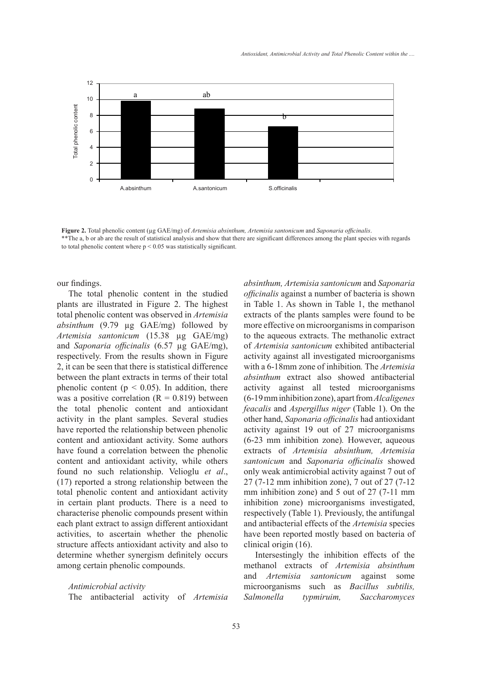

**Figure 2.** Total phenolic content (µg GAE/mg) of *Artemisia absinthum, Artemisia santonicum* and *Saponaria officinalis*. \*\*The a, b or ab are the result of statistical analysis and show that there are significant differences among the plant species with regards to total phenolic content where  $p \le 0.05$  was statistically significant.

our findings.

The total phenolic content in the studied plants are illustrated in Figure 2. The highest total phenolic content was observed in *Artemisia absinthum* (9.79 µg GAE/mg) followed by *Artemisia santonicum* (15.38 µg GAE/mg) and *Saponaria officinalis* (6.57 µg GAE/mg), respectively. From the results shown in Figure 2, it can be seen that there is statistical difference between the plant extracts in terms of their total phenolic content ( $p < 0.05$ ). In addition, there was a positive correlation  $(R = 0.819)$  between the total phenolic content and antioxidant activity in the plant samples. Several studies have reported the relationship between phenolic content and antioxidant activity. Some authors have found a correlation between the phenolic content and antioxidant activity, while others found no such relationship. Velioglu *et al*., (17) reported a strong relationship between the total phenolic content and antioxidant activity in certain plant products. There is a need to characterise phenolic compounds present within each plant extract to assign different antioxidant activities, to ascertain whether the phenolic structure affects antioxidant activity and also to determine whether synergism definitely occurs among certain phenolic compounds.

*Antimicrobial activity* The antibacterial activity of *Artemisia* 

*absinthum, Artemisia santonicum* and *Saponaria officinalis* against a number of bacteria is shown in Table 1. As shown in Table 1, the methanol extracts of the plants samples were found to be more effective on microorganisms in comparison to the aqueous extracts. The methanolic extract of *Artemisia santonicum* exhibited antibacterial activity against all investigated microorganisms with a 6-18mm zone of inhibition*.* The *Artemisia absinthum* extract also showed antibacterial activity against all tested microorganisms (6-19 mm inhibition zone), apart from *Alcaligenes feacalis* and *Aspergillus niger* (Table 1). On the other hand, *Saponaria officinalis* had antioxidant activity against 19 out of 27 microorganisms (6-23 mm inhibition zone)*.* However, aqueous extracts of *Artemisia absinthum, Artemisia santonicum* and *Saponaria officinalis* showed only weak antimicrobial activity against 7 out of 27 (7-12 mm inhibition zone), 7 out of 27 (7-12 mm inhibition zone) and 5 out of 27 (7-11 mm inhibition zone) microorganisms investigated, respectively (Table 1). Previously, the antifungal and antibacterial effects of the *Artemisia* species have been reported mostly based on bacteria of clinical origin (16).

Intersestingly the inhibition effects of the methanol extracts of *Artemisia absinthum* and *Artemisia santonicum* against some microorganisms such as *Bacillus subtilis, Salmonella typmiruim, Saccharomyces*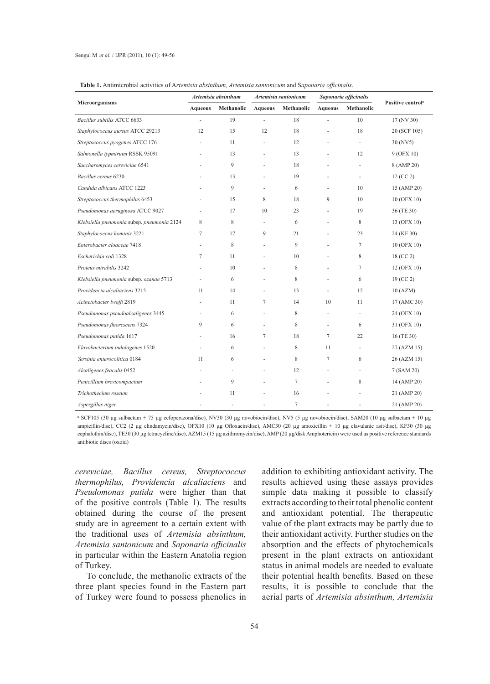| Microorganisms                             | Artemisia absinthum      |                | Artemisia santonicum     |                | Saponaria officinalis |                          |                               |
|--------------------------------------------|--------------------------|----------------|--------------------------|----------------|-----------------------|--------------------------|-------------------------------|
|                                            | <b>Aqueous</b>           | Methanolic     | <b>Aqueous</b>           | Methanolic     | <b>Aqueous</b>        | <b>Methanolic</b>        | Positive control <sup>a</sup> |
| Bacillus subtilis ATCC 6633                | ÷,                       | 19             | ÷,                       | 18             | ä,                    | 10                       | $17$ (NV 30)                  |
| Staphylococcus aureus ATCC 29213           | 12                       | 15             | 12                       | 18             | ÷,                    | 18                       | 20 (SCF 105)                  |
| Streptococcus pyogenes ATCC 176            | $\overline{\phantom{a}}$ | 11             | $\blacksquare$           | 12             | ٠                     | $\overline{\phantom{a}}$ | 30 (NV5)                      |
| Salmonella typmiruim RSSK 95091            |                          | 13             |                          | 13             |                       | 12                       | 9 (OFX 10)                    |
| Saccharomyces cereviciae 6541              |                          | 9              |                          | 18             |                       |                          | 8 (AMP 20)                    |
| Bacillus cereus 6230                       |                          | 13             | ÷,                       | 19             | ÷,                    | $\overline{\phantom{a}}$ | 12 (CC 2)                     |
| Candida albicans ATCC 1223                 |                          | 9              | ä,                       | 6              |                       | 10                       | 15 (AMP 20)                   |
| Streptococcus thermophilus 6453            |                          | 15             | 8                        | 18             | 9                     | 10                       | 10 (OFX 10)                   |
| Pseudomonas aeruginosa ATCC 9027           | $\overline{\phantom{a}}$ | 17             | 10                       | 23             | ä,                    | 19                       | 36 (TE 30)                    |
| Klebsiella pneumonia subsp. pneumonia 2124 | 8                        | 8              | $\overline{\phantom{a}}$ | 6              |                       | 8                        | 13 (OFX 10)                   |
| Staphylococcus hominis 3221                | 7                        | 17             | 9                        | 21             |                       | 23                       | 24 (KF 30)                    |
| Enterobacter cloaceae 7418                 | $\sim$                   | 8              | $\blacksquare$           | 9              | ÷,                    | 7                        | 10 (OFX 10)                   |
| Escherichia coli 1328                      | 7                        | 11             |                          | 10             |                       | 8                        | 18 (CC 2)                     |
| Proteus mirabilis 3242                     |                          | 10             |                          | 8              | ٠                     | $\overline{7}$           | 12 (OFX 10)                   |
| Klebsiella pneumonia subsp. ozanae 5713    | ÷.                       | 6              | $\sim$                   | 8              | ÷,                    | 6                        | 19 (CC 2)                     |
| Providencia alcaliaciens 3215              | 11                       | 14             |                          | 13             | ÷.                    | 12                       | 10(AZM)                       |
| Acinetobacter lwoffi 2819                  |                          | 11             | 7                        | 14             | 10                    | 11                       | 17 (AMC 30)                   |
| Pseudomonas pseudoalcaligenes 3445         | ÷                        | 6              | $\sim$                   | 8              | ä,                    | $\overline{\phantom{a}}$ | 24 (OFX 10)                   |
| Pseudomonas fluorescens 7324               | 9                        | 6              | ä,                       | 8              | ÷,                    | 6                        | 31 (OFX 10)                   |
| Pseudomonas putida 1617                    |                          | 16             | 7                        | 18             | 7                     | 22                       | 16 (TE 30)                    |
| Flavobacterium indologenes 1520            |                          | 6              | $\overline{\phantom{a}}$ | 8              | 11                    | $\overline{\phantom{a}}$ | 27 (AZM 15)                   |
| Yersinia enterocolitica 0184               | 11                       | 6              |                          | 8              | 7                     | 6                        | 26 (AZM 15)                   |
| Alcaligenes feacalis 0452                  |                          | ÷,             |                          | 12             |                       | $\overline{\phantom{a}}$ | 7 (SAM 20)                    |
| Penicillium brevicompactum                 |                          | 9              |                          | $\overline{7}$ | ÷,                    | 8                        | 14 (AMP 20)                   |
| Trichothecium roseum                       |                          | 11             |                          | 16             |                       |                          | 21 (AMP 20)                   |
| Aspergillus niger                          |                          | $\overline{a}$ |                          | $\overline{7}$ |                       |                          | 21 (AMP 20)                   |

**Table 1.** Antimicrobial activities of A*rtemisia absinthum, Artemisia santonicum* and S*aponaria officinalis*.

<sup>a</sup> SCF105 (30 μg sulbactam + 75 μg cefoperazona/disc), NV30 (30 μg novobiocin/disc), NV5 (5 μg novobiocin/disc), SAM20 (10 μg sulbactam + 10 μg ampicillin/disc), CC2 (2 µg clindamycin/disc), OFX10 (10 µg Ofloxacin/disc), AMC30 (20 µg amoxicillin + 10 µg clavulanic asit/disc), KF30 (30 µg cephalothin/disc), TE30 (30 µg tetracycline/disc), AZM15 (15 µg azithromycin/disc), AMP (20 µg/disk Amphotericin) were used as positive reference standards antibiotic discs (oxoid)

*cereviciae, Bacillus cereus, Streptococcus thermophilus, Providencia alcaliaciens* and *Pseudomonas putida* were higher than that of the positive controls (Table 1). The results obtained during the course of the present study are in agreement to a certain extent with the traditional uses of *Artemisia absinthum, Artemisia santonicum* and *Saponaria officinalis* in particular within the Eastern Anatolia region of Turkey.

To conclude, the methanolic extracts of the three plant species found in the Eastern part of Turkey were found to possess phenolics in

addition to exhibiting antioxidant activity. The results achieved using these assays provides simple data making it possible to classify extracts according to their total phenolic content and antioxidant potential. The therapeutic value of the plant extracts may be partly due to their antioxidant activity. Further studies on the absorption and the effects of phytochemicals present in the plant extracts on antioxidant status in animal models are needed to evaluate their potential health benefits. Based on these results, it is possible to conclude that the aerial parts of *Artemisia absinthum, Artemisia*